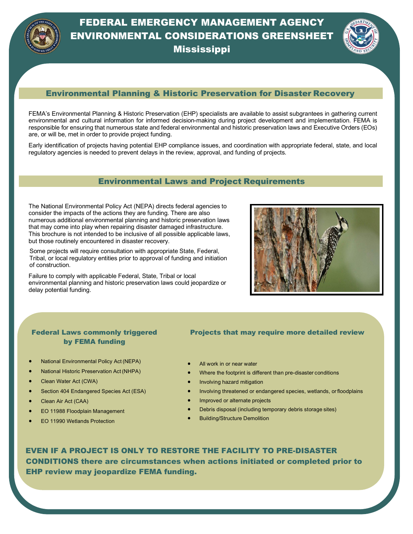

**Mississippi** 



### Environmental Planning & Historic Preservation for Disaster Recovery

FEMA's Environmental Planning & Historic Preservation (EHP) specialists are available to assist subgrantees in gathering current environmental and cultural information for informed decision-making during project development and implementation. FEMA is responsible for ensuring that numerous state and federal environmental and historic preservation laws and Executive Orders (EOs) are, or will be, met in order to provide project funding.

Early identification of projects having potential EHP compliance issues, and coordination with appropriate federal, state, and local regulatory agencies is needed to prevent delays in the review, approval, and funding of projects.

#### Environmental Laws and Project Requirements

The National Environmental Policy Act (NEPA) directs federal agencies to consider the impacts of the actions they are funding. There are also numerous additional environmental planning and historic preservation laws that may come into play when repairing disaster damaged infrastructure. This brochure is not intended to be inclusive of all possible applicable laws, but those routinely encountered in disaster recovery.

 Some projects will require consultation with appropriate State, Federal, Tribal, or local regulatory entities prior to approval of funding and initiation of construction.

Failure to comply with applicable Federal, State, Tribal or local environmental planning and historic preservation laws could jeopardize or delay potential funding.



### Federal Laws commonly triggered by FEMA funding

- National Environmental Policy Act (NEPA)
- National Historic Preservation Act (NHPA)
- Clean Water Act (CWA)
- Section 404 Endangered Species Act (ESA)
- Clean Air Act (CAA)
- EO 11988 Floodplain Management
- EO 11990 Wetlands Protection

#### Projects that may require more detailed review

- All work in or near water
- Where the footprint is different than pre-disaster conditions
- Involving hazard mitigation
- Involving threatened or endangered species, wetlands, orfloodplains
- Improved or alternate projects
- Debris disposal (including temporary debris storage sites)
- Building/Structure Demolition

 EVEN IF A PROJECT IS ONLY TO RESTORE THE FACILITY TO PRE-DISASTER CONDITIONS there are circumstances when actions initiated or completed prior to EHP review may jeopardize FEMA funding.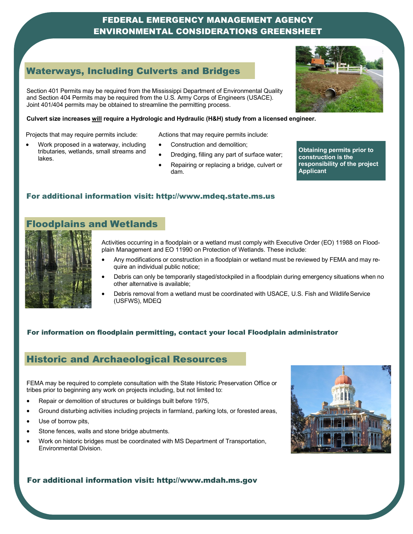# Waterways,Including Culverts and Waterways, Including Culverts and Bridges

Section 401 Permits may be required from the Mississippi Department of Environmental Quality and Section 404 Permits may be required from the U.S. Army Corps of Engineers (USACE). Joint 401/404 permits may be obtained to streamline the permitting process.

#### **Culvert size increases will require a Hydrologic and Hydraulic (H&H) study from a licensed engineer.**

Projects that may require permits include:

- Work proposed in a waterway, including tributaries, wetlands, small streams and lakes.
- Actions that may require permits include:
- Construction and demolition;
- Dredging, filling any part of surface water;
- Repairing or replacing a bridge, culvert or dam.

**Obtaining permits prior to construction is the responsibility of the project Applicant**

### For additional information visit: [http://www.mdeq.state.ms.us](http://www.mdeq.state.ms.us/)

# Floodplains and Wetlands



- Activities occurring in a floodplain or a wetland must comply with Executive Order (EO) 11988 on Floodplain Management and EO 11990 on Protection of Wetlands. These include:
- Any modifications or construction in a floodplain or wetland must be reviewed by FEMA and may require an individual public notice;
- Debris can only be temporarily staged/stockpiled in a floodplain during emergency situations when no other alternative is available;
- Debris removal from a wetland must be coordinated with USACE, U.S. Fish and Wildlife Service (USFWS), MDEQ

### For information on floodplain permitting, contact your local Floodplain administrator

### Historic and Archaeological Resources

FEMA may be required to complete consultation with the State Historic Preservation Office or tribes prior to beginning any work on projects including, but not limited to:

- Repair or demolition of structures or buildings built before 1975,
- Ground disturbing activities including projects in farmland, parking lots, or forested areas,
- Use of borrow pits,
- Stone fences, walls and stone bridge abutments.
- Work on historic bridges must be coordinated with MS Department of Transportation, Environmental Division.



#### For additional information visit: [http://www.mdah.ms.gov](http://www.mdah.ms.gov/)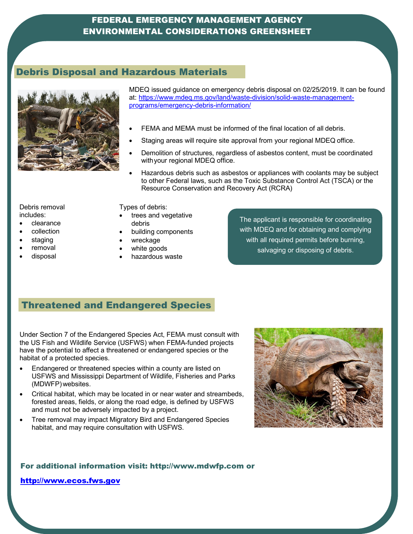# Debris Disposal and Hazardous Materials



MDEQ issued guidance on emergency debris disposal on 02/25/2019. It can be found at: [https://www.mdeq.ms.gov/land/waste-division/solid-waste-management](https://www.mdeq.ms.gov/land/waste-division/solid-waste-management-programs/emergency-debris-information/)[programs/emergency-debris-information/](https://www.mdeq.ms.gov/land/waste-division/solid-waste-management-programs/emergency-debris-information/)

- FEMA and MEMA must be informed of the final location of all debris.
- Staging areas will require site approval from your regional MDEQ office.
- Demolition of structures, regardless of asbestos content, must be coordinated withyour regional MDEQ office.
- Hazardous debris such as asbestos or appliances with coolants may be subject to other Federal laws, such as the Toxic Substance Control Act (TSCA) or the Resource Conservation and Recovery Act (RCRA)

Debris removal includes:

- clearance
- collection
- staging
- removal
- disposal

Types of debris:

- trees and vegetative debris
- building components
- wreckage
- white goods
- hazardous waste

The applicant is responsible for coordinating with MDEQ and for obtaining and complying with all required permits before burning, salvaging or disposing of debris.

# Threatened and Endangered Species

Under Section 7 of the Endangered Species Act, FEMA must consult with the US Fish and Wildlife Service (USFWS) when FEMA-funded projects have the potential to affect a threatened or endangered species or the habitat of a protected species.

- Endangered or threatened species within a county are listed on USFWS and Mississippi Department of Wildlife, Fisheries and Parks (MDWFP)websites.
- Critical habitat, which may be located in or near water and streambeds, forested areas, fields, or along the road edge, is defined by USFWS and must not be adversely impacted by a project.
- Tree removal may impact Migratory Bird and Endangered Species habitat, and may require consultation with USFWS.



For additional information visit: [http://www.mdwfp.com o](http://www.mdwfp.com/)r

[http://www.ecos.fws.gov](http://www.ecos.fws.gov/)